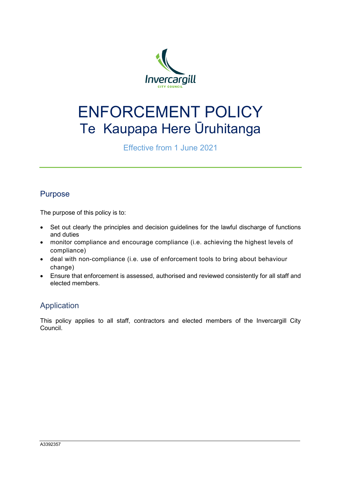

# ENFORCEMENT POLICY Te Kaupapa Here Ūruhitanga

Effective from 1 June 2021

## Purpose

The purpose of this policy is to:

- Set out clearly the principles and decision guidelines for the lawful discharge of functions and duties
- monitor compliance and encourage compliance (i.e. achieving the highest levels of compliance)
- deal with non-compliance (i.e. use of enforcement tools to bring about behaviour change)
- Ensure that enforcement is assessed, authorised and reviewed consistently for all staff and elected members.

### Application

This policy applies to all staff, contractors and elected members of the Invercargill City Council.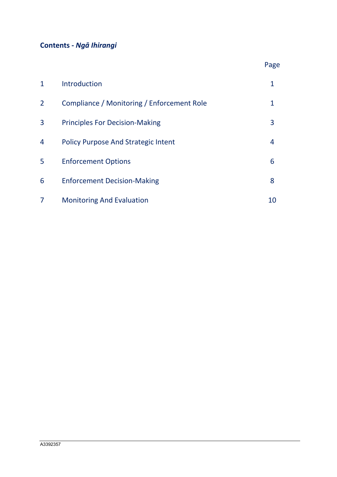# **Contents -** *Ngā Ihirangi*

|                |                                            | Page |
|----------------|--------------------------------------------|------|
| $\mathbf{1}$   | Introduction                               |      |
| $\overline{2}$ | Compliance / Monitoring / Enforcement Role |      |
| 3              | <b>Principles For Decision-Making</b>      | 3    |
| $\overline{4}$ | <b>Policy Purpose And Strategic Intent</b> | 4    |
| 5              | <b>Enforcement Options</b>                 | 6    |
| 6              | <b>Enforcement Decision-Making</b>         | 8    |
| 7              | <b>Monitoring And Evaluation</b>           | 10   |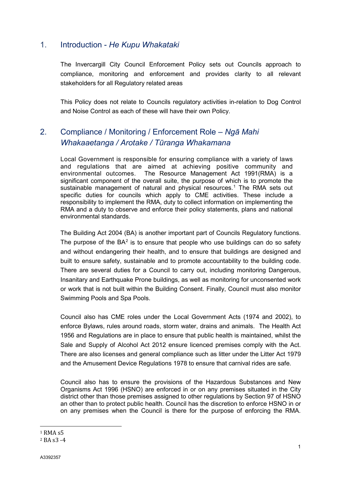### 1. Introduction - *He Kupu Whakataki*

The Invercargill City Council Enforcement Policy sets out Councils approach to compliance, monitoring and enforcement and provides clarity to all relevant stakeholders for all Regulatory related areas

This Policy does not relate to Councils regulatory activities in-relation to Dog Control and Noise Control as each of these will have their own Policy.

# 2. Compliance / Monitoring / Enforcement Role – *Ngā Mahi Whakaaetanga / Arotake / Tūranga Whakamana*

Local Government is responsible for ensuring compliance with a variety of laws and regulations that are aimed at achieving positive community and environmental outcomes. The Resource Management Act 1991(RMA) is a significant component of the overall suite, the purpose of which is to promote the sustainable management of natural and physical resources.<sup>[1](#page-2-0)</sup> The RMA sets out specific duties for councils which apply to CME activities. These include a responsibility to implement the RMA, duty to collect information on implementing the RMA and a duty to observe and enforce their policy statements, plans and national environmental standards.

The Building Act 2004 (BA) is another important part of Councils Regulatory functions. The purpose of the  $BA^2$  $BA^2$  is to ensure that people who use buildings can do so safety and without endangering their health, and to ensure that buildings are designed and built to ensure safety, sustainable and to promote accountability to the building code. There are several duties for a Council to carry out, including monitoring Dangerous, Insanitary and Earthquake Prone buildings, as well as monitoring for unconsented work or work that is not built within the Building Consent. Finally, Council must also monitor Swimming Pools and Spa Pools.

Council also has CME roles under the Local Government Acts (1974 and 2002), to enforce Bylaws, rules around roads, storm water, drains and animals. The Health Act 1956 and Regulations are in place to ensure that public health is maintained, whilst the Sale and Supply of Alcohol Act 2012 ensure licenced premises comply with the Act. There are also licenses and general compliance such as litter under the Litter Act 1979 and the Amusement Device Regulations 1978 to ensure that carnival rides are safe.

Council also has to ensure the provisions of the Hazardous Substances and New Organisms Act 1996 (HSNO) are enforced in or on any premises situated in the City district other than those premises assigned to other regulations by Section 97 of HSNO an other than to protect public health. Council has the discretion to enforce HSNO in or on any premises when the Council is there for the purpose of enforcing the RMA.

-

<span id="page-2-0"></span> $1$  RMA s5

<span id="page-2-1"></span><sup>2</sup> BA s3 -4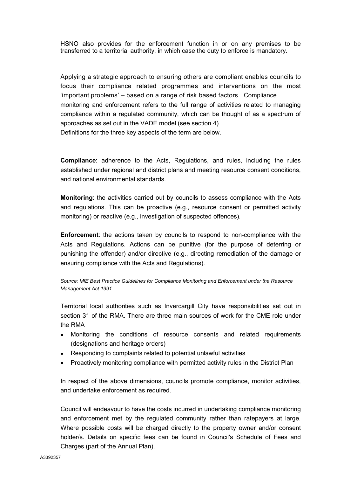HSNO also provides for the enforcement function in or on any premises to be transferred to a territorial authority, in which case the duty to enforce is mandatory.

Applying a strategic approach to ensuring others are compliant enables councils to focus their compliance related programmes and interventions on the most 'important problems' – based on a range of risk based factors. Compliance monitoring and enforcement refers to the full range of activities related to managing compliance within a regulated community, which can be thought of as a spectrum of approaches as set out in the VADE model (see section 4). Definitions for the three key aspects of the term are below.

**Compliance**: adherence to the Acts, Regulations, and rules, including the rules established under regional and district plans and meeting resource consent conditions, and national environmental standards.

**Monitoring**: the activities carried out by councils to assess compliance with the Acts and regulations. This can be proactive (e.g., resource consent or permitted activity monitoring) or reactive (e.g., investigation of suspected offences).

**Enforcement**: the actions taken by councils to respond to non-compliance with the Acts and Regulations. Actions can be punitive (for the purpose of deterring or punishing the offender) and/or directive (e.g., directing remediation of the damage or ensuring compliance with the Acts and Regulations).

*Source: MfE Best Practice Guidelines for Compliance Monitoring and Enforcement under the Resource Management Act 1991*

Territorial local authorities such as Invercargill City have responsibilities set out in section 31 of the RMA. There are three main sources of work for the CME role under the RMA

- Monitoring the conditions of resource consents and related requirements (designations and heritage orders)
- Responding to complaints related to potential unlawful activities
- Proactively monitoring compliance with permitted activity rules in the District Plan

In respect of the above dimensions, councils promote compliance, monitor activities, and undertake enforcement as required.

Council will endeavour to have the costs incurred in undertaking compliance monitoring and enforcement met by the regulated community rather than ratepayers at large. Where possible costs will be charged directly to the property owner and/or consent holder/s. Details on specific fees can be found in Council's Schedule of Fees and Charges (part of the Annual Plan).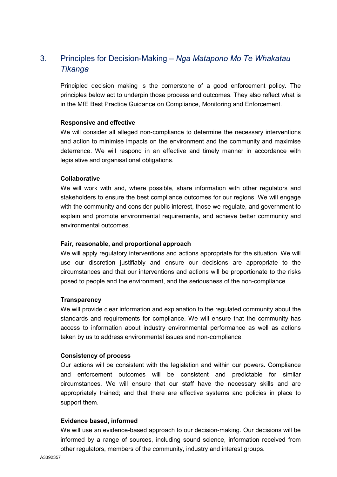# 3. Principles for Decision-Making – *Ngā Mātāpono Mō Te Whakatau Tikanga*

Principled decision making is the cornerstone of a good enforcement policy. The principles below act to underpin those process and outcomes. They also reflect what is in the MfE Best Practice Guidance on Compliance, Monitoring and Enforcement.

#### **Responsive and effective**

We will consider all alleged non-compliance to determine the necessary interventions and action to minimise impacts on the environment and the community and maximise deterrence. We will respond in an effective and timely manner in accordance with legislative and organisational obligations.

#### **Collaborative**

We will work with and, where possible, share information with other regulators and stakeholders to ensure the best compliance outcomes for our regions. We will engage with the community and consider public interest, those we regulate, and government to explain and promote environmental requirements, and achieve better community and environmental outcomes.

#### **Fair, reasonable, and proportional approach**

We will apply regulatory interventions and actions appropriate for the situation. We will use our discretion justifiably and ensure our decisions are appropriate to the circumstances and that our interventions and actions will be proportionate to the risks posed to people and the environment, and the seriousness of the non-compliance.

#### **Transparency**

We will provide clear information and explanation to the regulated community about the standards and requirements for compliance. We will ensure that the community has access to information about industry environmental performance as well as actions taken by us to address environmental issues and non-compliance.

#### **Consistency of process**

Our actions will be consistent with the legislation and within our powers. Compliance and enforcement outcomes will be consistent and predictable for similar circumstances. We will ensure that our staff have the necessary skills and are appropriately trained; and that there are effective systems and policies in place to support them.

#### **Evidence based, informed**

We will use an evidence-based approach to our decision-making. Our decisions will be informed by a range of sources, including sound science, information received from other regulators, members of the community, industry and interest groups.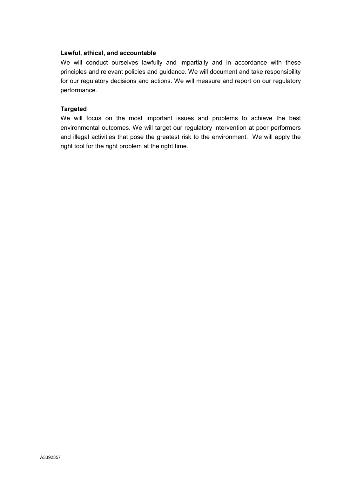#### **Lawful, ethical, and accountable**

We will conduct ourselves lawfully and impartially and in accordance with these principles and relevant policies and guidance. We will document and take responsibility for our regulatory decisions and actions. We will measure and report on our regulatory performance.

#### **Targeted**

We will focus on the most important issues and problems to achieve the best environmental outcomes. We will target our regulatory intervention at poor performers and illegal activities that pose the greatest risk to the environment. We will apply the right tool for the right problem at the right time.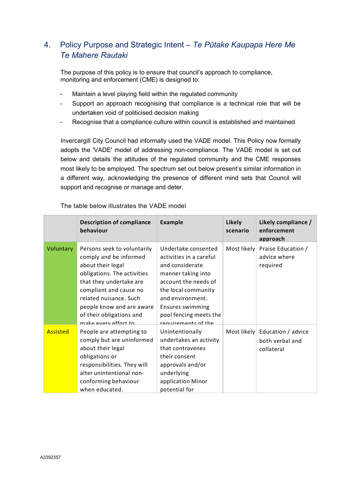# 4. Policy Purpose and Strategic Intent – *Te Pūtake Kaupapa Here Me Te Mahere Rautaki*

The purpose of this policy is to ensure that council's approach to compliance, monitoring and enforcement (CME) is designed to:

- Maintain a level playing field within the regulated community
- Support an approach recognising that compliance is a technical role that will be undertaken void of politicised decision making
- Recognise that a compliance culture within council is established and maintained

Invercargill City Council had informally used the VADE model. This Policy now formally adopts the 'VADE' model of addressing non-compliance. The VADE model is set out below and details the attitudes of the regulated community and the CME responses most likely to be employed. The spectrum set out below present's similar information in a different way, acknowledging the presence of different mind sets that Council will support and recognise or manage and deter.

|                 | <b>Description of compliance</b><br>behaviour                                                                                                                                                                                                                             | <b>Example</b>                                                                                                                                                                                                                         | <b>Likely</b><br>scenario | Likely compliance /<br>enforcement<br>approach      |
|-----------------|---------------------------------------------------------------------------------------------------------------------------------------------------------------------------------------------------------------------------------------------------------------------------|----------------------------------------------------------------------------------------------------------------------------------------------------------------------------------------------------------------------------------------|---------------------------|-----------------------------------------------------|
| Voluntary       | Persons seek to voluntarily<br>comply and be informed<br>about their legal<br>obligations. The activities<br>that they undertake are<br>compliant and cause no<br>related nuisance. Such<br>people know and are aware<br>of their obligations and<br>make every effort to | Undertake consented<br>activities in a careful<br>and considerate<br>manner taking into<br>account the needs of<br>the local community<br>and environment.<br><b>Ensures swimming</b><br>pool fencing meets the<br>requirements of the | Most likely               | Praise Education /<br>advice where<br>required      |
| <b>Assisted</b> | People are attempting to<br>comply but are uninformed<br>about their legal<br>obligations or<br>responsibilities. They will<br>alter unintentional non-<br>conforming behaviour<br>when educated.                                                                         | Unintentionally<br>undertakes an activity<br>that contravenes<br>their consent<br>approvals and/or<br>underlying<br>application Minor<br>potential for                                                                                 | Most likely               | Education / advice<br>both verbal and<br>collateral |

The table below illustrates the VADE model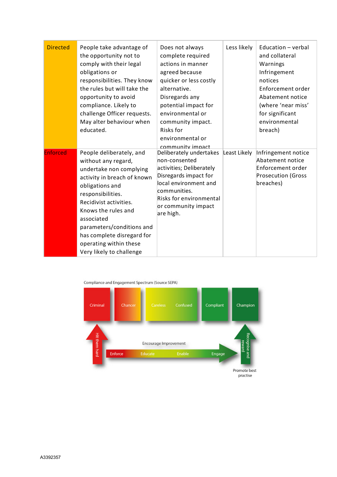| <b>Directed</b> | People take advantage of<br>the opportunity not to<br>comply with their legal<br>obligations or<br>responsibilities. They know<br>the rules but will take the<br>opportunity to avoid<br>compliance. Likely to<br>challenge Officer requests.<br>May alter behaviour when<br>educated.                                            | Does not always<br>complete required<br>actions in manner<br>agreed because<br>quicker or less costly<br>alternative.<br>Disregards any<br>potential impact for<br>environmental or<br>community impact.<br>Risks for<br>environmental or<br>community impact | Less likely  | Education - verbal<br>and collateral<br>Warnings<br>Infringement<br>notices<br>Enforcement order<br>Abatement notice<br>(where 'near miss'<br>for significant<br>environmental<br>breach) |
|-----------------|-----------------------------------------------------------------------------------------------------------------------------------------------------------------------------------------------------------------------------------------------------------------------------------------------------------------------------------|---------------------------------------------------------------------------------------------------------------------------------------------------------------------------------------------------------------------------------------------------------------|--------------|-------------------------------------------------------------------------------------------------------------------------------------------------------------------------------------------|
| <b>Enforced</b> | People deliberately, and<br>without any regard,<br>undertake non complying<br>activity in breach of known<br>obligations and<br>responsibilities.<br>Recidivist activities.<br>Knows the rules and<br>associated<br>parameters/conditions and<br>has complete disregard for<br>operating within these<br>Very likely to challenge | Deliberately undertakes<br>non-consented<br>activities; Deliberately<br>Disregards impact for<br>local environment and<br>communities.<br>Risks for environmental<br>or community impact<br>are high.                                                         | Least Likely | Infringement notice<br>Abatement notice<br>Enforcement order<br><b>Prosecution (Gross</b><br>breaches)                                                                                    |

Compliance and Engagement Spectrum (Source SEPA)

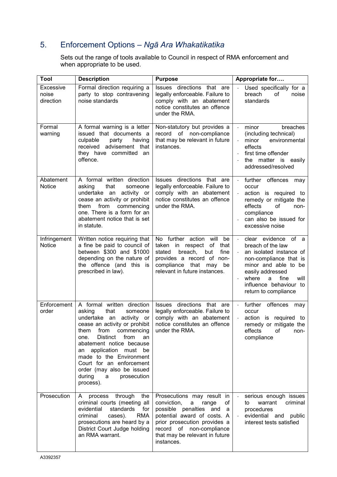# 5. Enforcement Options – *Ngā Ara Whakatikatika*

Sets out the range of tools available to Council in respect of RMA enforcement and when appropriate to be used.

| Tool                            | <b>Description</b>                                                                                                                                                                                                                                                                                                                                                                  | <b>Purpose</b>                                                                                                                                                                                                                       | Appropriate for                                                                                                                                                                                                                            |
|---------------------------------|-------------------------------------------------------------------------------------------------------------------------------------------------------------------------------------------------------------------------------------------------------------------------------------------------------------------------------------------------------------------------------------|--------------------------------------------------------------------------------------------------------------------------------------------------------------------------------------------------------------------------------------|--------------------------------------------------------------------------------------------------------------------------------------------------------------------------------------------------------------------------------------------|
| Excessive<br>noise<br>direction | Formal direction requiring a<br>party to stop contravening<br>noise standards                                                                                                                                                                                                                                                                                                       | Issues directions that are<br>legally enforceable. Failure to<br>comply with an abatement<br>notice constitutes an offence<br>under the RMA.                                                                                         | Used specifically for a<br>breach<br>οf<br>noise<br>standards                                                                                                                                                                              |
| Formal<br>warning               | A formal warning is a letter<br>issued that documents a<br>culpable<br>party<br>having<br>received advisement that<br>they have committed<br>an<br>offence.                                                                                                                                                                                                                         | Non-statutory but provides a<br>record of non-compliance<br>that may be relevant in future<br>instances.                                                                                                                             | minor<br>breaches<br>$\mathbb{L}$<br>(including technical)<br>minor<br>environmental<br>effects<br>first time offender<br>the matter is easily<br>addressed/resolved                                                                       |
| Abatement<br>Notice             | A formal written direction<br>asking<br>that<br>someone<br>undertake an<br>activity or<br>cease an activity or prohibit<br>from<br>commencing<br>them<br>one. There is a form for an<br>abatement notice that is set<br>in statute.                                                                                                                                                 | Issues directions that are<br>legally enforceable. Failure to<br>comply with an abatement<br>notice constitutes an offence<br>under the RMA.                                                                                         | further offences may<br>occur<br>action is required to<br>remedy or mitigate the<br>effects<br>of<br>non-<br>compliance<br>can also be issued for<br>excessive noise                                                                       |
| Infringement<br>Notice          | Written notice requiring that<br>a fine be paid to council of<br>between \$300 and \$1000<br>depending on the nature of<br>the offence (and this is<br>prescribed in law).                                                                                                                                                                                                          | No further action will<br>be<br>in respect of<br>taken<br>that<br>breach,<br>fine<br>stated<br>but<br>provides a record of non-<br>compliance that<br>may<br>be<br>relevant in future instances.                                     | clear evidence of a<br>$\frac{1}{2}$<br>breach of the law<br>an isolated instance of<br>non-compliance that is<br>minor and able to be<br>easily addressed<br>where<br>fine<br>will<br>a<br>influence behaviour to<br>return to compliance |
| Enforcement<br>order            | A formal written direction<br>asking<br>that<br>someone<br>undertake an<br>activity or<br>cease an activity or prohibit<br>them<br>from<br>commencing<br><b>Distinct</b><br>from<br>one.<br>an<br>abatement notice because<br>an application must be<br>made to the Environment<br>Court for an enforcement<br>order (may also be issued<br>during<br>prosecution<br>a<br>process). | directions that are<br>Issues<br>legally enforceable. Failure to<br>comply with an abatement<br>notice constitutes an offence<br>under the RMA.                                                                                      | further<br>offences<br>$\overline{a}$<br>may<br>occur<br>action is required to<br>$\overline{\phantom{a}}$<br>remedy or mitigate the<br>effects<br>of<br>non-<br>compliance                                                                |
| Prosecution                     | process through<br>the<br>A<br>criminal courts (meeting all<br>standards<br>evidential<br>for<br>criminal<br>cases).<br><b>RMA</b><br>prosecutions are heard by a<br>District Court Judge holding<br>an RMA warrant.                                                                                                                                                                | Prosecutions may result in<br>conviction,<br>of<br>a<br>range<br>possible penalties and a<br>potential award of costs. A<br>prior prosecution provides a<br>record of non-compliance<br>that may be relevant in future<br>instances. | serious enough issues<br>$\blacksquare$<br>warrant<br>criminal<br>to<br>procedures<br>evidential and public<br>interest tests satisfied                                                                                                    |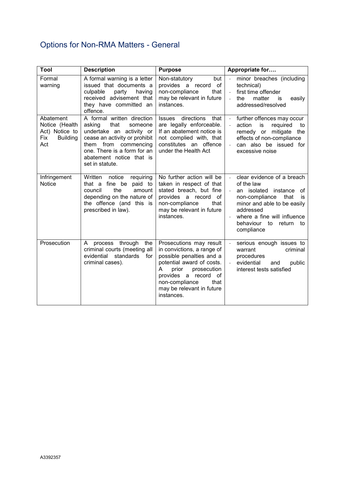# Options for Non-RMA Matters - General

| <b>Tool</b>                                                                    | <b>Description</b>                                                                                                                                                                                                         | <b>Purpose</b>                                                                                                                                                                                                                           | Appropriate for                                                                                                                                                                                                                    |
|--------------------------------------------------------------------------------|----------------------------------------------------------------------------------------------------------------------------------------------------------------------------------------------------------------------------|------------------------------------------------------------------------------------------------------------------------------------------------------------------------------------------------------------------------------------------|------------------------------------------------------------------------------------------------------------------------------------------------------------------------------------------------------------------------------------|
| Formal<br>warning                                                              | A formal warning is a letter<br>issued that documents a<br>culpable<br>party<br>having<br>received advisement that<br>they have committed an<br>offence.                                                                   | Non-statutory<br>but<br>provides a record of<br>non-compliance<br>that<br>may be relevant in future<br>instances.                                                                                                                        | minor breaches (including<br>technical)<br>first time offender<br>$\frac{1}{2}$<br>matter<br>the<br>is<br>easily<br>$\overline{a}$<br>addressed/resolved                                                                           |
| Abatement<br>Notice (Health<br>Act) Notice to<br>Fix<br><b>Building</b><br>Act | A formal written direction<br>asking<br>that<br>someone<br>undertake an activity or<br>cease an activity or prohibit<br>them from commencing<br>one. There is a form for an<br>abatement notice that is<br>set in statute. | Issues directions<br>that<br>are legally enforceable.<br>If an abatement notice is<br>not complied with, that<br>constitutes an offence<br>under the Health Act                                                                          | further offences may occur<br>action<br>is<br>required<br>to<br>remedy or mitigate<br>the<br>effects of non-compliance<br>can also be issued for<br>excessive noise                                                                |
| Infringement<br><b>Notice</b>                                                  | Written<br>notice<br>requiring<br>that a fine be paid to<br>the<br>council<br>amount<br>depending on the nature of<br>the offence (and this is<br>prescribed in law).                                                      | No further action will be<br>taken in respect of that<br>stated breach, but fine<br>provides a record of<br>non-compliance<br>that<br>may be relevant in future<br>instances.                                                            | clear evidence of a breach<br>of the law<br>an isolated<br>instance<br>of<br>non-compliance<br>that<br>is<br>minor and able to be easily<br>addressed<br>where a fine will influence<br>behaviour to<br>return<br>to<br>compliance |
| Prosecution                                                                    | A process through<br>the<br>criminal courts (meeting all<br>evidential standards<br>for<br>criminal cases).                                                                                                                | Prosecutions may result<br>in convictions, a range of<br>possible penalties and a<br>potential award of costs.<br>prior<br>prosecution<br>A<br>provides a record of<br>non-compliance<br>that<br>may be relevant in future<br>instances. | serious enough issues to<br>criminal<br>warrant<br>procedures<br>evidential<br>and<br>public<br>interest tests satisfied                                                                                                           |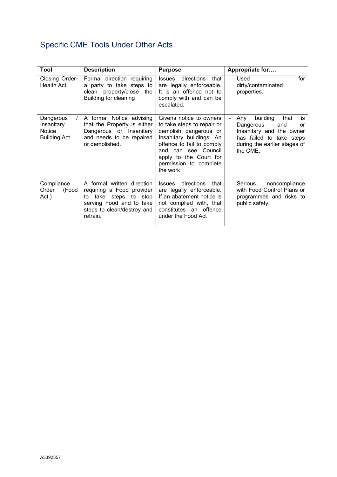# Specific CME Tools Under Other Acts

| Tool                                                     | <b>Description</b>                                                                                                                                     | <b>Purpose</b>                                                                                                                                                                                                                  | Appropriate for                                                                                                                                             |
|----------------------------------------------------------|--------------------------------------------------------------------------------------------------------------------------------------------------------|---------------------------------------------------------------------------------------------------------------------------------------------------------------------------------------------------------------------------------|-------------------------------------------------------------------------------------------------------------------------------------------------------------|
| Closing Order-<br>Health Act                             | Formal direction requiring<br>a party to take steps to<br>clean property/close<br>the<br>Building for cleaning                                         | directions<br><b>Issues</b><br>that<br>are legally enforceable.<br>It is an offence not to<br>comply with and can be<br>escalated.                                                                                              | for<br>Used<br>dirty/contaminated<br>properties.                                                                                                            |
| Dangerous<br>Insanitary<br>Notice<br><b>Building Act</b> | A formal Notice advising<br>that the Property is either<br>Dangerous or Insanitary<br>and needs to be repaired<br>or demolished.                       | Givens notice to owners<br>to take steps to repair or<br>demolish dangerous or<br>Insanitary buildings. An<br>offence to fail to comply<br>and can see Council<br>apply to the Court for<br>permission to complete<br>the work. | building<br>that<br>Any<br>is<br>Dangerous<br>and<br>or<br>Insanitary and the owner<br>has failed to take steps<br>during the earlier stages of<br>the CME. |
| Compliance<br>Order<br>(Food<br>Act)                     | A formal written direction<br>requiring a Food provider<br>to take steps to stop<br>serving Food and to take<br>steps to clean/destroy and<br>retrain. | that<br>directions<br><i><b>Issues</b></i><br>are legally enforceable.<br>If an abatement notice is<br>not complied with, that<br>constitutes an offence<br>under the Food Act                                                  | Serious<br>noncompliance<br>with Food Control Plans or<br>programmes and risks to<br>public safety.                                                         |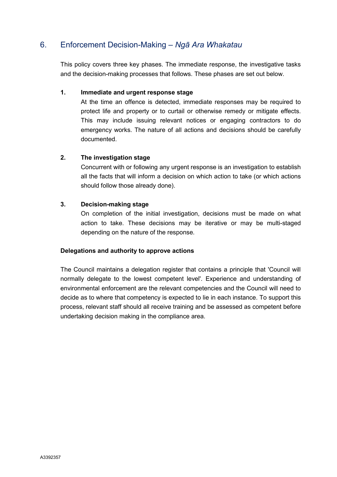### 6. Enforcement Decision-Making – *Ngā Ara Whakatau*

This policy covers three key phases. The immediate response, the investigative tasks and the decision-making processes that follows. These phases are set out below.

#### **1. Immediate and urgent response stage**

At the time an offence is detected, immediate responses may be required to protect life and property or to curtail or otherwise remedy or mitigate effects. This may include issuing relevant notices or engaging contractors to do emergency works. The nature of all actions and decisions should be carefully documented.

#### **2. The investigation stage**

Concurrent with or following any urgent response is an investigation to establish all the facts that will inform a decision on which action to take (or which actions should follow those already done).

#### **3. Decision-making stage**

On completion of the initial investigation, decisions must be made on what action to take. These decisions may be iterative or may be multi-staged depending on the nature of the response.

#### **Delegations and authority to approve actions**

The Council maintains a delegation register that contains a principle that 'Council will normally delegate to the lowest competent level'. Experience and understanding of environmental enforcement are the relevant competencies and the Council will need to decide as to where that competency is expected to lie in each instance. To support this process, relevant staff should all receive training and be assessed as competent before undertaking decision making in the compliance area.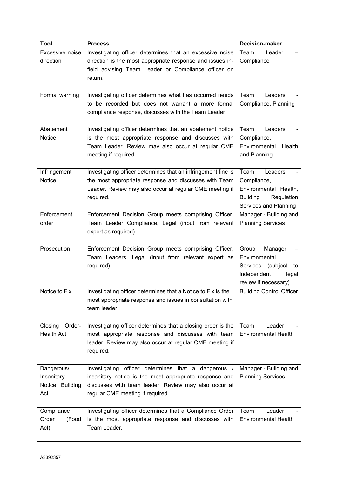| Tool                         | <b>Process</b>                                                                                                  | <b>Decision-maker</b>           |
|------------------------------|-----------------------------------------------------------------------------------------------------------------|---------------------------------|
| Excessive noise              | Investigating officer determines that an excessive noise                                                        | Team<br>Leader                  |
| direction                    | direction is the most appropriate response and issues in-                                                       | Compliance                      |
|                              | field advising Team Leader or Compliance officer on                                                             |                                 |
|                              | return.                                                                                                         |                                 |
|                              |                                                                                                                 |                                 |
| Formal warning               | Investigating officer determines what has occurred needs                                                        | Leaders<br>Team                 |
|                              | to be recorded but does not warrant a more formal                                                               | Compliance, Planning            |
|                              | compliance response, discusses with the Team Leader.                                                            |                                 |
|                              |                                                                                                                 |                                 |
| Abatement                    | Investigating officer determines that an abatement notice                                                       | Team<br>Leaders                 |
| Notice                       | is the most appropriate response and discusses with                                                             | Compliance,                     |
|                              | Team Leader. Review may also occur at regular CME                                                               | Environmental<br>Health         |
|                              | meeting if required.                                                                                            | and Planning                    |
|                              |                                                                                                                 |                                 |
| Infringement                 | Investigating officer determines that an infringement fine is                                                   | Team<br>Leaders                 |
| Notice                       | the most appropriate response and discusses with Team                                                           | Compliance,                     |
|                              | Leader. Review may also occur at regular CME meeting if                                                         | Environmental Health,           |
|                              | required.                                                                                                       | <b>Building</b><br>Regulation   |
|                              |                                                                                                                 | Services and Planning           |
| Enforcement                  | Enforcement Decision Group meets comprising Officer,                                                            | Manager - Building and          |
| order                        | Team Leader Compliance, Legal (input from relevant                                                              | <b>Planning Services</b>        |
|                              | expert as required)                                                                                             |                                 |
|                              |                                                                                                                 |                                 |
| Prosecution                  | Enforcement Decision Group meets comprising Officer,                                                            | Manager<br>Group                |
|                              | Team Leaders, Legal (input from relevant expert as                                                              | Environmental                   |
|                              | required)                                                                                                       | Services (subject<br>to         |
|                              |                                                                                                                 | independent<br>legal            |
|                              |                                                                                                                 | review if necessary)            |
| Notice to Fix                | Investigating officer determines that a Notice to Fix is the                                                    | <b>Building Control Officer</b> |
|                              | most appropriate response and issues in consultation with                                                       |                                 |
|                              | team leader                                                                                                     |                                 |
|                              |                                                                                                                 |                                 |
| Closing<br>Order-            | Investigating officer determines that a closing order is the                                                    | Leader<br>Team                  |
| <b>Health Act</b>            | most appropriate response and discusses with team                                                               | <b>Environmental Health</b>     |
|                              | leader. Review may also occur at regular CME meeting if                                                         |                                 |
|                              | required.                                                                                                       |                                 |
|                              |                                                                                                                 |                                 |
| Dangerous/                   | Investigating officer determines that a dangerous<br>$\sqrt{ }$                                                 | Manager - Building and          |
| Insanitary                   | insanitary notice is the most appropriate response and                                                          | <b>Planning Services</b>        |
| Notice Building              | discusses with team leader. Review may also occur at                                                            |                                 |
| Act                          | regular CME meeting if required.                                                                                |                                 |
|                              |                                                                                                                 | Team<br>Leader                  |
| Compliance<br>Order<br>(Food | Investigating officer determines that a Compliance Order<br>is the most appropriate response and discusses with | <b>Environmental Health</b>     |
|                              | Team Leader.                                                                                                    |                                 |
| Act)                         |                                                                                                                 |                                 |
|                              |                                                                                                                 |                                 |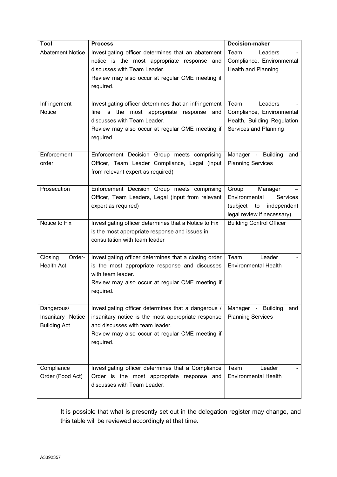| Tool                           | <b>Process</b>                                                                                     | <b>Decision-maker</b>                        |
|--------------------------------|----------------------------------------------------------------------------------------------------|----------------------------------------------|
| <b>Abatement Notice</b>        | Investigating officer determines that an abatement<br>notice is the most appropriate response and  | Team<br>Leaders<br>Compliance, Environmental |
|                                | discusses with Team Leader.                                                                        | <b>Health and Planning</b>                   |
|                                | Review may also occur at regular CME meeting if                                                    |                                              |
|                                | required.                                                                                          |                                              |
|                                |                                                                                                    |                                              |
| Infringement<br>Notice         | Investigating officer determines that an infringement<br>fine is the most appropriate response and | Team<br>Leaders<br>Compliance, Environmental |
|                                | discusses with Team Leader.                                                                        | Health, Building Regulation                  |
|                                | Review may also occur at regular CME meeting if                                                    | Services and Planning                        |
|                                | required.                                                                                          |                                              |
| Enforcement                    | Enforcement Decision Group meets comprising                                                        | Manager - Building<br>and                    |
| order                          | Officer, Team Leader Compliance, Legal (input                                                      | <b>Planning Services</b>                     |
|                                | from relevant expert as required)                                                                  |                                              |
| Prosecution                    | Enforcement Decision Group meets comprising                                                        | Group<br>Manager                             |
|                                | Officer, Team Leaders, Legal (input from relevant                                                  | Environmental<br><b>Services</b>             |
|                                | expert as required)                                                                                | independent<br>(subject to                   |
|                                |                                                                                                    | legal review if necessary)                   |
| Notice to Fix                  | Investigating officer determines that a Notice to Fix                                              | <b>Building Control Officer</b>              |
|                                | is the most appropriate response and issues in<br>consultation with team leader                    |                                              |
|                                |                                                                                                    |                                              |
| Closing<br>Order-              | Investigating officer determines that a closing order                                              | Team<br>Leader                               |
| <b>Health Act</b>              | is the most appropriate response and discusses                                                     | <b>Environmental Health</b>                  |
|                                | with team leader.<br>Review may also occur at regular CME meeting if                               |                                              |
|                                | required.                                                                                          |                                              |
|                                |                                                                                                    |                                              |
| Dangerous/                     | Investigating officer determines that a dangerous /                                                | Manager - Building<br>and                    |
| Insanitary Notice              | insanitary notice is the most appropriate response<br>and discusses with team leader.              | <b>Planning Services</b>                     |
| <b>Building Act</b>            | Review may also occur at regular CME meeting if                                                    |                                              |
|                                | required.                                                                                          |                                              |
|                                |                                                                                                    |                                              |
|                                | Investigating officer determines that a Compliance                                                 | Team<br>Leader                               |
| Compliance<br>Order (Food Act) | Order is the most appropriate response and                                                         | <b>Environmental Health</b>                  |
|                                | discusses with Team Leader.                                                                        |                                              |
|                                |                                                                                                    |                                              |

It is possible that what is presently set out in the delegation register may change, and this table will be reviewed accordingly at that time.